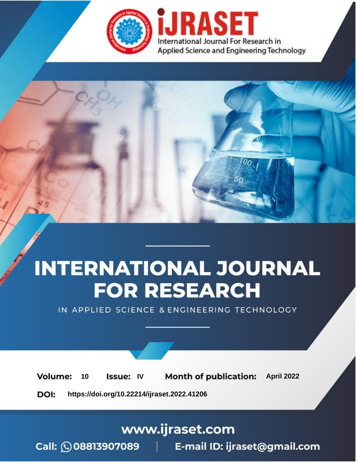

# **INTERNATIONAL JOURNAL FOR RESEARCH**

IN APPLIED SCIENCE & ENGINEERING TECHNOLOGY

10 **Issue: IV Month of publication:** April 2022 **Volume:** 

**https://doi.org/10.22214/ijraset.2022.41206**DOI:

www.ijraset.com

Call: 008813907089 | E-mail ID: ijraset@gmail.com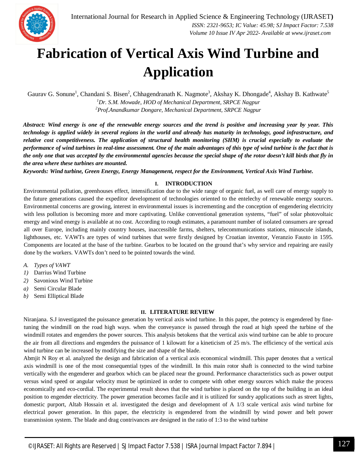### **Fabrication of Vertical Axis Wind Turbine and Application**

Gaurav G. Sonune<sup>1</sup>, Chandani S. Bisen<sup>2</sup>, Chhagendranath K. Nagmote<sup>3</sup>, Akshay K. Dhongade<sup>4</sup>, Akshay B. Kathwate<sup>5</sup> *<sup>1</sup>Dr. S.M. Mowade, HOD of Mechanical Department, SRPCE Nagpur <sup>2</sup>Prof.Anandkumar Dongare, Mechanical Department, SRPCE Nagpur*

*Abstract: Wind energy is one of the renewable energy sources and the trend is positive and increasing year by year. This technology is applied widely in several regions in the world and already has maturity in technology, good infrastructure, and relative cost competitiveness. The application of structural health monitoring (SHM) is crucial especially to evaluate the performance of wind turbines in real-time assessment. One of the main advantages of this type of wind turbine is the fact that is the only one that was accepted by the environmental agencies because the special shape of the rotor doesn't kill birds that fly in the area where these turbines are mounted.* 

*Keywords: Wind turbine, Green Energy, Energy Management, respect for the Environment, Vertical Axis Wind Turbine.* 

#### **I. INTRODUCTION**

Environmental pollution, greenhouses effect, intensification due to the wide range of organic fuel, as well care of energy supply to the future generations caused the expeditor development of technologies oriented to the entelechy of renewable energy sources. Environmental concerns are growing, interest in environmental issues is incrementing and the conception of engendering electricity with less pollution is becoming more and more captivating. Unlike conventional generation systems, "fuel" of solar photovoltaic energy and wind energy is available at no cost. According to rough estimates, a paramount number of isolated consumers are spread all over Europe, including mainly country houses, inaccessible farms, shelters, telecommunications stations, minuscule islands, lighthouses, etc. VAWTs are types of wind turbines that were firstly designed by Croatian inventor, Veranzio Fausto in 1595. Components are located at the base of the turbine. Gearbox to be located on the ground that's why service and repairing are easily done by the workers. VAWTs don't need to be pointed towards the wind.

- *A. Types of VAWT*
- *1)* Darrius Wind Turbine
- *2)* Savonious Wind Turbine
- *a)* Semi Circular Blade
- *b)* Semi Elliptical Blade

#### **II. LITERATURE REVIEW**

Niranjana. S.J investigated the puissance generation by vertical axis wind turbine. In this paper, the potency is engendered by finetuning the windmill on the road high ways. when the conveyance is passed through the road at high speed the turbine of the windmill rotates and engenders the power sources. This analysis betokens that the vertical axis wind turbine can be able to procure the air from all directions and engenders the puissance of 1 kilowatt for a kineticism of 25 m/s. The efficiency of the vertical axis wind turbine can be increased by modifying the size and shape of the blade.

Abmjit N Roy et al. analyzed the design and fabrication of a vertical axis economical windmill. This paper denotes that a vertical axis windmill is one of the most consequential types of the windmill. In this main rotor shaft is connected to the wind turbine vertically with the engenderer and gearbox which can be placed near the ground. Performance characteristics such as power output versus wind speed or angular velocity must be optimized in order to compete with other energy sources which make the process economically and eco-cordial. The experimental result shows that the wind turbine is placed on the top of the building in an ideal position to engender electricity. The power generation becomes facile and it is utilized for sundry applications such as street lights, domestic purport, Altab Hossain et al. investigated the design and development of A 1/3 scale vertical axis wind turbine for electrical power generation. In this paper, the electricity is engendered from the windmill by wind power and belt power transmission system. The blade and drag contrivances are designed in the ratio of 1:3 to the wind turbine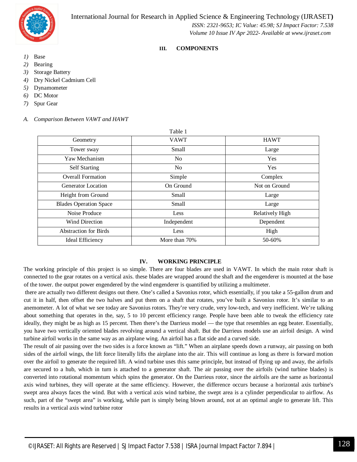International Journal for Research in Applied Science & Engineering Technology (IJRASET**)**



 *ISSN: 2321-9653; IC Value: 45.98; SJ Impact Factor: 7.538 Volume 10 Issue IV Apr 2022- Available at www.ijraset.com*

#### **III. COMPONENTS**

- *1)* Base
- *2)* Bearing
- *3)* Storage Battery
- *4)* Dry Nickel Cadmium Cell
- *5)* Dynamometer
- *6)* DC Motor
- *7)* Spur Gear

|  | A. Comparison Between VAWT and HAWT |  |
|--|-------------------------------------|--|
|--|-------------------------------------|--|

| Table 1        |                 |
|----------------|-----------------|
| <b>VAWT</b>    | <b>HAWT</b>     |
| Small          | Large           |
| N <sub>o</sub> | Yes             |
| N <sub>0</sub> | Yes             |
| Simple         | Complex         |
| On Ground      | Not on Ground   |
| Small          | Large           |
| Small          | Large           |
| Less           | Relatively High |
| Independent    | Dependent       |
| Less           | High            |
| More than 70%  | 50-60%          |
|                |                 |

#### **IV. WORKING PRINCIPLE**

The working principle of this project is so simple. There are four blades are used in VAWT. In which the main rotor shaft is connected to the gear rotates on a vertical axis. these blades are wrapped around the shaft and the engenderer is mounted at the base of the tower. the output power engendered by the wind engenderer is quantified by utilizing a multimeter.

there are actually two different designs out there. One's called a Savonius rotor, which essentially, if you take a 55-gallon drum and cut it in half, then offset the two halves and put them on a shaft that rotates, you've built a Savonius rotor. It's similar to an anemometer. A lot of what we see today are Savonius rotors. They're very crude, very low-tech, and very inefficient. We're talking about something that operates in the, say, 5 to 10 percent efficiency range. People have been able to tweak the efficiency rate ideally, they might be as high as 15 percent. Then there's the Darrieus model — the type that resembles an egg beater. Essentially, you have two vertically oriented blades revolving around a vertical shaft. But the Darrieus models use an airfoil design. A wind turbine airfoil works in the same way as an airplane wing. An airfoil has a flat side and a curved side.

The result of air passing over the two sides is a force known as "lift." When an airplane speeds down a runway, air passing on both sides of the airfoil wings, the lift force literally lifts the airplane into the air. This will continue as long as there is forward motion over the airfoil to generate the required lift. A wind turbine uses this same principle, but instead of flying up and away, the airfoils are secured to a hub, which in turn is attached to a generator shaft. The air passing over the airfoils (wind turbine blades) is converted into rotational momentum which spins the generator. On the Darrieus rotor, since the airfoils are the same as horizontal axis wind turbines, they will operate at the same efficiency. However, the difference occurs because a horizontal axis turbine's swept area always faces the wind. But with a vertical axis wind turbine, the swept area is a cylinder perpendicular to airflow. As such, part of the "swept area" is working, while part is simply being blown around, not at an optimal angle to generate lift. This results in a vertical axis wind turbine rotor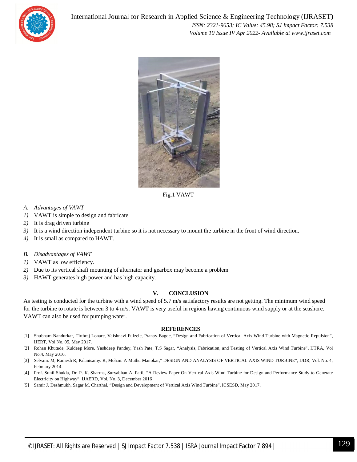



Fig.1 VAWT

- *A. Advantages of VAWT*
- *1)* VAWT is simple to design and fabricate
- *2)* It is drag driven turbine
- *3)* It is a wind direction independent turbine so it is not necessary to mount the turbine in the front of wind direction.
- *4)* It is small as compared to HAWT.
- *B. Disadvantages of VAWT*
- *1)* VAWT as low efficiency.
- *2)* Due to its vertical shaft mounting of alternator and gearbox may become a problem
- *3)* HAWT generates high power and has high capacity.

#### **V. CONCLUSION**

As testing is conducted for the turbine with a wind speed of 5.7 m/s satisfactory results are not getting. The minimum wind speed for the turbine to rotate is between 3 to 4 m/s. VAWT is very useful in regions having continuous wind supply or at the seashore. VAWT can also be used for pumping water.

#### **REFERENCES**

- [1] Shubham Nandurkar, Tirthraj Lonare, Vaishnavi Fulzele, Pranay Bagde, "Design and Fabrication of Vertical Axis Wind Turbine with Magnetic Repulsion", IJERT, Vol No. 05, May 2017.
- [2] Rohan Khutade, Kuldeep More, Yashdeep Pandey, Yash Pate, T.S Sagar, "Analysis, Fabrication, and Testing of Vertical Axis Wind Turbine", IJTRA, Vol No.4, May 2016.
- [3] Selvam. M, Ramesh R, Palanisamy. R, Mohan. A Muthu Manokar," DESIGN AND ANALYSIS OF VERTICAL AXIS WIND TURBINE", IJDR, Vol. No. 4, February 2014.
- [4] Prof. Sunil Shukla, Dr. P. K. Sharma, Suryabhan A. Patil, "A Review Paper On Vertical Axis Wind Turbine for Design and Performance Study to Generate Electricity on Highway", IJAERD, Vol. No. 3, December 2016
- [5] Samir J. Deshmukh, Sagar M. Charthal, "Design and Development of Vertical Axis Wind Turbine", ICSESD, May 2017.